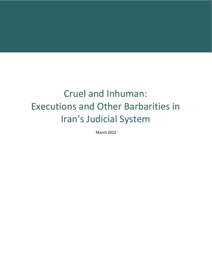# Cruel and Inhuman: Executions and Other Barbarities in Iran's Judicial System

March 2022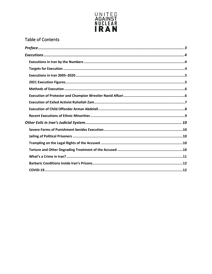

#### Table of Contents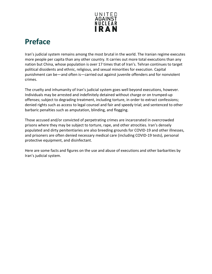

# <span id="page-2-0"></span>**Preface**

Iran's judicial system remains among the most brutal in the world. The Iranian regime executes more people per capita than any other country. It carries out more total executions than any nation but China, whose population is over 17 times that of Iran's. Tehran continues to target political dissidents and ethnic, religious, and sexual minorities for execution. Capital punishment can be—and often is—carried out against juvenile offenders and for nonviolent crimes.

The cruelty and inhumanity of Iran's judicial system goes well beyond executions, however. Individuals may be arrested and indefinitely detained without charge or on trumped-up offenses; subject to degrading treatment, including torture, in order to extract confessions; denied rights such as access to legal counsel and fair and speedy trial; and sentenced to other barbaric penalties such as amputation, blinding, and flogging.

Those accused and/or convicted of perpetrating crimes are incarcerated in overcrowded prisons where they may be subject to torture, rape, and other atrocities. Iran's densely populated and dirty penitentiaries are also breeding grounds for COVID-19 and other illnesses, and prisoners are often denied necessary medical care (including COVID-19 tests), personal protective equipment, and disinfectant.

Here are some facts and figures on the use and abuse of executions and other barbarities by Iran's judicial system.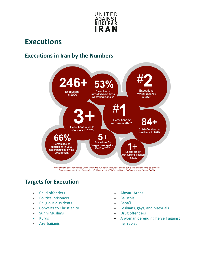

## <span id="page-3-0"></span>**Executions**

#### <span id="page-3-1"></span>**Executions in Iran by the Numbers**



\*This statistic does not include China, where the number of executions carried out is kept secret by the government. Sources: Amnesty International, the U.S. Department of State, the United Nations, and Iran Human Rights.

### <span id="page-3-2"></span>**Targets for Execution**

- [Child offenders](https://www.timesofisrael.com/un-expert-iran-continues-to-execute-children-has-90-on-death-row/) [Ahwazi Arabs](https://www.hrw.org/news/2013/01/24/iran-stop-execution-ahwazi-arab-political-prisoners)
- [Political prisoners](https://www.nytimes.com/2009/11/23/world/middleeast/23iran.html) [Baluchis](https://www.ohchr.org/en/NewsEvents/Pages/DisplayNews.aspx?NewsID=26716&LangID=E)
- [Religious dissidents](https://www.theguardian.com/world/2014/sep/29/iran-executes-man-heresy-mohsen-amir-aslani) [Baha'i](http://news.bahai.org/story/1076/)
- 
- 
- [Kurds](https://www.ohchr.org/en/NewsEvents/Pages/DisplayNews.aspx?NewsID=26036&LangID=E)
- [Azerbaijanis](https://web.archive.org/web/20121001193145/http:/www.hurriyetdailynews.com/default.aspx?pageid=438&n=iran-8216secretly-executing8217-azerbaijani-prisoners-2011-10-18)
- 
- 
- 
- [Converts to Christianity](http://www.telegraph.co.uk/news/worldnews/middleeast/iran/3179465/Hanged-for-being-a-Christian-in-Iran.html) **•** [Lesbians, gays, and bisexuals](https://www.jpost.com/International/US-envoy-urges-allies-to-condemn-public-execution-of-homosexual-Iranian-579244)
- [Sunni Muslims](https://www.hrw.org/news/2014/06/12/iran-halt-execution-33-sunnis) [Drug offenders](https://www.nytimes.com/2014/12/17/world/middleeast/iran-criticized-for-executing-drug-offenders.html)
	- [A woman defending herself against](http://www.cnn.com/2014/10/25/world/meast/iranian-woman-execution/)  [her rapist](http://www.cnn.com/2014/10/25/world/meast/iranian-woman-execution/)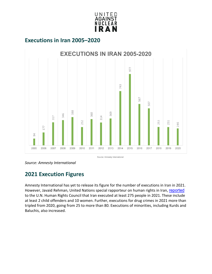

#### <span id="page-4-0"></span>**Executions in Iran 2005–2020**



*Source: Amnesty International* 

#### <span id="page-4-1"></span>**2021 Execution Figures**

Amnesty International has yet to release its figure for the number of executions in Iran in 2021. However, Javaid Rehman, United Nations special rapporteur on human rights in Iran, [reported](https://documents-dds-ny.un.org/doc/UNDOC/GEN/G22/005/44/PDF/G2200544.pdf?OpenElement) to the U.N. Human Rights Council that Iran executed at least 275 people in 2021. These include at least 2 child offenders and 10 women. Further, executions for drug crimes in 2021 more than tripled from 2020, going from 25 to more than 80. Executions of minorities, including Kurds and Baluchis, also increased.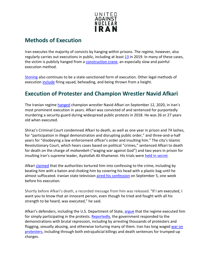

#### <span id="page-5-0"></span>**Methods of Execution**

Iran executes the majority of convicts by hanging within prisons. The regime, however, also regularly carries out executions in public, including at least  $13$  in 2019. In many of these cases, the victim is publicly hanged from a **construction crane**, an especially slow and painful execution method.

[Stoning](http://www.bbc.com/news/10579121) also continues to be a state-sanctioned form of execution. Other legal methods of execution include firing squad, beheading, and being thrown from a height.

#### <span id="page-5-1"></span>**Execution of Protester and Champion Wrestler Navid Afkari**

The Iranian regime [hanged](https://www.bbc.com/news/world-middle-east-54129949) champion wrestler Navid Afkari on September 12, 2020, in Iran's most prominent execution in years. Afkari was convicted of and sentenced for purportedly murdering a security guard during widespread public protests in 2018. He was 26 or 27 years old when executed.

Shiraz's Criminal Court condemned Afkari to death, as well as one year in prison and 74 lashes, for "participation in illegal demonstration and disrupting public order," and three-and-a-half years for "disobeying a law enforcement officer's order and insulting him." The city's Islamic Revolutionary Court, which hears cases based on political "crimes," sentenced Afkari to death for death on the charge of *moharebeh* ("waging war against God") and two years in prison for insulting Iran's supreme leader, Ayatollah Ali Khamenei. His trials were [held in secret.](https://www.ohchr.org/EN/NewsEvents/Pages/DisplayNews.aspx?NewsID=26231&LangID=E)

Afkari [claimed](https://www.hrw.org/news/2020/09/12/iran-suddenly-executes-wrestler-navid-afkari) that the authorities tortured him into confessing to the crime, including by beating him with a baton and choking him by covering his head with a plastic bag until he almost suffocated. Iranian state television [aired his confession](https://www.amnesty.org/en/latest/news/2020/09/iran-wrestling-champion-navid-afkari-feared-at-risk-of-imminent-secret-execution/) on September 5, one week before his execution.

Shortly before Afkari's death, a recorded message from him was released. "If I am executed, I want you to know that an innocent person, even though he tried and fought with all his strength to be heard, was executed," he said.

Afkari's defenders, including the U.S. Department of State, [argue](https://www.voanews.com/middle-east/voa-news-iran/trump-urges-iran-not-execute-wrestler-2018-murder-confession-apparently) that the regime executed him for simply participating in the protests. [Reportedly,](https://www.amnesty.org/en/documents/mde13/2965/2020/en/) the government responded to the demonstrations with brutal repression, including by arresting thousands of protesters and flogging, sexually abusing, and otherwise torturing many of them. Iran has long waged [war on](https://www.unitedagainstnucleariran.com/irans-war-on-protestors-death-detention-and-darkness)  [protesters,](https://www.unitedagainstnucleariran.com/irans-war-on-protestors-death-detention-and-darkness) including through both extrajudicial killings and death sentences for trumped-up charges.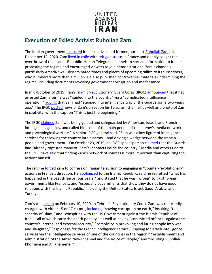

#### <span id="page-6-0"></span>**Execution of Exiled Activist Ruhollah Zam**

The Iranian government [executed](https://www.bbc.com/news/world-middle-east-55285301) Iranian activist and former journalist [Ruhollah Zam](https://www.unitedagainstnucleariran.com/people/ruhollah-zam) on December 12, 2020. Zam [lived in exile](https://webcache.googleusercontent.com/search?q=cache:PNIx6D1ButIJ:https://www.rferl.org/a/iran-exile-telegram-channel-roohollah-zam-bring-down-government/28957053.html+&cd=1&hl=en&ct=clnk&gl=us&client=safari) with [refugee status](https://www.diplomatie.gouv.fr/en/country-files/iran/news/article/iran-situation-of-ruhollah-zam-q-a-from-the-press-briefing-16-oct-19) in France and openly sought the overthrow of the Islamic Republic. He ran Telegram channels to spread information to Iranians protesting the regime and encouraged viewers to join demonstrations. Zam's channels particularly AmadNews—disseminated times and places of upcoming rallies to its subscribers, who numbered more than a million. He also published controversial materials undermining the regime, including documents revealing government corruption and malfeasance.

In mid-October of 2019, Iran's [Islamic Revolutionary Guard Corps](https://www.unitedagainstnucleariran.com/report/irgc-islamic-revolutionary-guard-corps) (IRGC) [announced](https://www.bbc.com/news/world-middle-east-50045089) that it had arrested Zam after he was "guided into the country" via a "complicated intelligence operation," [adding](https://www.tehrantimes.com/news/441195/Ruhollah-Zam-arrested-via-co-op-with-other-intelligence-services) that Zam had "stepped into intelligence trap of the Guards some two years ago." The IRGC [posted](https://www.tehrantimes.com/news/441326/Arrest-of-Ruhollah-Zam-astonished-foreign-intelligence-services) news of Zam's arrest on his Telegram channel, as well as a photo of Zam in captivity, with the caption "This is just the beginning."

The IRGC [claimed](https://www.bbc.com/news/world-middle-east-50045089) Zam was being guided and safeguarded by American, Israeli, and French intelligence agencies, and called him "one of the main people of the enemy's media network and psychological warfare." A senior IRGC general [said,](https://web.archive.org/web/20191021110006/https:/en.abna24.com/news/zam%E2%80%99s-arrest-took-foreign-intelligence-services-by-surprise-general-salami_983673.html) "Zam was a key figure of intelligence services for throwing the country into disarray… and driving a wedge between the Iranian people and government." On October 23, 2019, an IRGC spokesperson [claimed](https://en.radiofarda.com/a/iran-guards-say-many-collaborators-of-a-dissident-website-have-been-identified-/30232975.html) that the Guards had "already captured many of [Zam's] contacts inside the country." Media and others tied to the IRGC have [said](https://en.radiofarda.com/a/iran-guards-say-many-collaborators-of-a-dissident-website-have-been-identified-/30232975.html) that finding Zam's network of sources is more important than capturing the activist himself.

The regime [forced](https://www.thetimes.co.uk/article/honeytrap-snares-iranian-dissident-amid-prisoner-swap-rumours-pkl5zqqj2) Zam to confess on Iranian television to engaging in "counter-revolutionary" actions in France's direction. He [apologized](https://webcache.googleusercontent.com/search?q=cache:b7BUT8jQyloJ:https://en.radiofarda.com/a/irgc-says-it-lured-a-fierce-critic-in-exile-back-to-iran-and-arrested-him-/30216087.html+&cd=1&hl=en&ct=clnk&gl=us&client=safari) to the Islamic Republic, [said](https://www.dailystar.com.lb/News/Middle-East/2019/Oct-15/493569-iran-tv-shows-exile-arrested-in-guard-operation.ashx) he regretted "what has happened in the past three or four years," and stated that he was "wrong" to trust foreign governments like France's, and "especially governments that show they do not have good relations with the Islamic Republic," including the United States, Israel, Saudi Arabia, and Turkey.

Zam's trial [began](https://www.tasnimnews.com/en/news/2020/02/10/2200329/first-trial-session-of-ruhollah-zam-held-in-tehran) on February 10, 2020, in Tehran's Revolutionary Court. Zam was reportedly charged with either [15](https://www.voanews.com/middle-east/iran-opposition-figure-faces-death-sentence) or [17](https://www.thetimes.co.uk/article/ruhollah-zam-journalist-who-vanished-goes-on-trial-in-iran-3slmkb855) counts, [including](https://journalismisnotacrime.com/en/news/3757/) "sowing corruption on earth," insulting "the sanctity of Islam," and "conspiring with the US Government against the Islamic Republic of Iran"—all of which carry the death penalty—as well as having "committed offences against the country's internal and external security," "complicity in provoking and luring people into war and slaughter," "espionage for the French intelligence service," "spying for Israeli intelligence services via the intelligence services of one of the countries in the region," "establishment and administration of the Amad News channel and the Voice of People," and "insulting Ruhollah Khomeini and Ali Khamenei."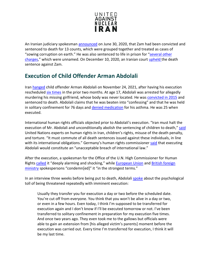

An Iranian judiciary spokesman [announced](https://www.rferl.org/a/iranian-journalist-sentenced-to-death-for-role-in-protests/30698329.html) on June 30, 2020, that Zam had been convicted and sentenced to death for 13 counts, which were grouped together and treated as cases of "sowing corruption on earth." He was also sentenced to life in prison for "several other [charges,](https://www.presstv.com/Detail/2020/06/30/628572/Iran-Rouhollah-Zam-death-sentence)" which were unnamed. On December 10, 2020, an Iranian court [upheld](https://www.al-monitor.com/pulse/originals/2020/12/iran-tehran-ruhollah-zam-death-penalty-regime-journalist.html) the death sentence against Zam.

#### <span id="page-7-0"></span>**Execution of Child Offender Arman Abdolali**

Iran [hanged](https://www.rferl.org/a/iran-hangs-juvenule-abdolai/31576433.html) child offender Arman Abdolali on November 24, 2021, after having his execution rescheduled six [times](https://www.iranhumanrights.org/2021/11/un-calls-on-iran-to-commute-death-sentences-against-child-offenders-upon-execution-of-arman-abdolali/) in the prior two months. At age 17, Abdolali was arrested for allegedly murdering his missing girlfriend, whose body was never located. He wa[s convicted in 2015](https://www.amnesty.org/en/latest/news/2021/10/iran-to-execute-man-arrested-at-17/) and sentenced to death. Abdolali claims that he was beaten into "confessing" and that he was held in solitary confinement for 76 days and [denied medication](https://www.ohchr.org/SP/NewsEvents/Pages/DisplayNews.aspx?NewsID=27647&LangID=E) for his asthma. He was 25 when executed.

International human rights officials objected prior to Abdolali's execution. "Iran must halt the execution of Mr. Abdolali and unconditionally abolish the sentencing of children to death," [said](https://www.ohchr.org/SP/NewsEvents/Pages/DisplayNews.aspx?NewsID=27647&LangID=E) United Nations experts on human rights in Iran, children's rights, misuse of the death penalty, and torture. "It must commute of all death sentences issued against these individuals, in line with its international obligations." Germany's human rights commissioner [said](https://www.thenationalnews.com/mena/iran/2021/10/13/iran-postpones-execution-of-man-arrested-aged-17/) that executing Abdolali would constitute an "unacceptable breach of international law."

After the execution, a spokesman for the Office of the U.N. High Commissioner for Human Right[s called](https://news.un.org/en/story/2021/11/1106512) it "deeply alarming and shocking," while **European Union and British foreign** [ministry](https://www.gov.uk/government/news/fcdo-spokesperson-statement-on-arman-abdolali) spokespersons "condemn[ed]" it "in the strongest terms."

In an interview three weeks before being put to death, Abdolali [spoke](https://iranhr.net/en/articles/4959/) about the psychological toll of being threatened repeatedly with imminent execution:

Usually they transfer you for execution a day or two before the scheduled date. You're cut off from everyone. You think that you won't be alive in a day or two, or even in a few hours. Even today, I think I'm supposed to be transferred for execution again and I don't know if I'll be executed tomorrow or not. I've been transferred to solitary confinement in preparation for my execution five times. And once two years ago. They even took me to the gallows but officials were able to gain an extension from [his alleged victim's parents] moment before the execution was carried out. Every time I'm transferred for execution, I think it will be my last time.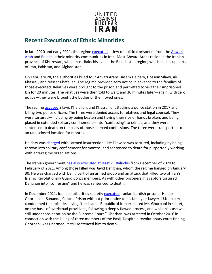

#### <span id="page-8-0"></span>**Recent Executions of Ethnic Minorities**

In late 2020 and early 2021, the regime [executed](https://iranhumanrights.org/2021/03/relatives-visit-ethnic-arab-prisoners-in-khuzestan-jail-only-to-be-handed-corpses-minutes-later/) a slew of political prisoners from the Ahwazi [Arab](https://unpo.org/members/7857) and [Balochi](https://www.britannica.com/topic/Baloch) ethnic minority communities in Iran. Most Ahwazi Arabs reside in the Iranian province of Khuzestan, while most Balochis live in the Balochistan region, which makes up parts of Iran, Pakistan, and Afghanistan.

On February 28, the authorities killed four Ahvazi Arabs: Jasem Heidary, Hossein Silawi, Ali Khasraji, and Nasser Khafajian. The regime provided zero notice in advance to the families of those executed. Relatives were brought to the prison and permitted to visit their imprisoned kin for 20 minutes. The relatives were then told to wait, and 30 minutes later—again, with zero notice—they were brought the bodies of their loved ones.

The regim[e accused](https://www.amnesty.org/en/latest/news/2021/02/iran-eight-baluchi-and-ahwazi-arab-prisoners-at-risk-amid-alarming-rise-in-executions/) Silawi, Khafajian, and Khasraji of attacking a police station in 2017 and killing two police officers. The three were denied access to relatives and legal counsel. They were tortured—including by being beaten and having their ribs or hands broken, and being placed in extended solitary confinement—into "confessing" to crimes, and they were sentenced to death on the basis of those coerced confessions. The three were transported to an undisclosed location for months.

Heidary was [charged](https://www.amnesty.org/en/latest/news/2021/02/iran-eight-baluchi-and-ahwazi-arab-prisoners-at-risk-amid-alarming-rise-in-executions/) with "armed insurrection." He likewise was tortured, including by being thrown into solitary confinement for months, and sentenced to death for purportedly working with anti-regime organizations.

The Iranian government [has also executed at least 21 Baluchis](https://www.ohchr.org/en/NewsEvents/Pages/DisplayNews.aspx?NewsID=26716&LangID=E) from December of 2020 to February of 2021. Among those killed was Javid Dehghan, whom the regime hanged on January 30. He was charged with being part of an armed group and an attack that killed two of Iran's Islamic Revolutionary Guard Corps members. As with other prisoners, his captors tortured Dehghan into "confessing" and he was sentenced to death.

In December 2021, Iranian authorities secretly [executed](https://news.un.org/en/story/2021/12/1108652) Iranian Kurdish prisoner Heidar Ghorbani at Sanandaj Central Prison without prior notice to his family or lawyer. U.N. experts condemned the episode, saying "the Islamic Republic of Iran executed Mr. Ghorbani in secret, on the basis of overbroad provisions, following a deeply flawed process, and while his case was still under consideration by the Supreme Court." Ghorbani was arrested in October 2016 in connection with the killing of three members of the Basij. Despite a revolutionary court finding Ghorbani was unarmed, it still sentenced him to death.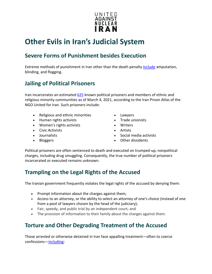

# <span id="page-9-0"></span>**Other Evils in Iran's Judicial System**

#### <span id="page-9-1"></span>**Severe Forms of Punishment besides Execution**

Extreme methods of punishment in Iran other than the death penalty [include](http://www.ohchr.org/EN/HRBodies/HRC/RegularSessions/Session34/Documents/A_HRC_34_65_AEV.docx) amputation, blinding, and flogging.

#### <span id="page-9-2"></span>**Jailing of Political Prisoners**

Iran incarcerates an estimated [625](https://ipa.united4iran.org/en/prisoner/) known political prisoners and members of ethnic and religious minority communities as of March 4, 2021, according to the Iran Prison Atlas of the NGO United for Iran. Such prisoners include:

- Religious and ethnic minorities Lawyers
- Human rights activists Trade unionists
- Women's rights activists Writers
- Civic Activists Artists
- 
- 
- 
- 
- 
- 
- Journalists Social media activists
	- Bloggers Other dissidents

Political prisoners are often sentenced to death and executed on trumped-up, nonpolitical charges, including drug smuggling. Consequently, the true number of political prisoners incarcerated or executed remains unknown.

#### <span id="page-9-3"></span>**Trampling on the Legal Rights of the Accused**

The Iranian government frequently violates the legal rights of the accused by denying them:

- Prompt information about the charges against them;
- Access to an attorney, or the ability to select an attorney of one's choice (instead of one from a pool of lawyers chosen by the head of the judiciary);
- Fair, speedy, and public trial by an independent court; and
- The provision of information to their family about the charges against them.

#### <span id="page-9-4"></span>**Torture and Other Degrading Treatment of the Accused**

Those arrested or otherwise detained in Iran face appalling treatment—often to coerce confessions[—including:](http://www.ohchr.org/EN/HRBodies/HRC/RegularSessions/Session34/Documents/A_HRC_34_65_AEV.docx)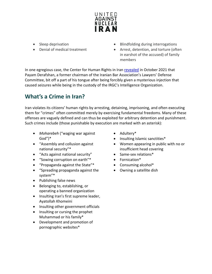

- Sleep deprivation
- Denial of medical treatment
- Blindfolding during interrogations
- Arrest, detention, and torture (often in earshot of the accused) of family members

In one egregious case, the Center for Human Rights in Ira[n revealed](https://iranhumanrights.org/2021/10/detained-lawyer-of-iranian-instagram-star-tortured-bit-off-tongue-after-unidentified-injection/) in October 2021 that Payam Derafshan, a former chairman of the Iranian Bar Association's Lawyers' Defense Committee, bit off a part of his tongue after being forcibly given a mysterious injection that caused seizures while being in the custody of the IRGC's Intelligence Organization.

### <span id="page-10-0"></span>**What's a Crime in Iran?**

Iran violates its citizens' human rights by arresting, detaining, imprisoning, and often executing them for "crimes" often committed merely by exercising fundamental freedoms. Many of these offenses are vaguely defined and can thus be exploited for arbitrary detention and punishment. Such crimes include (those punishable by execution are marked with an asterisk):

- *Moharebeh* ("waging war against God")\*
- "Assembly and collusion against national security"\*
- "Acts against national security" Same-sex relations\*
- "Sowing corruption on earth"\* • Fornication\*
- "Propaganda against the State"\*
- "Spreading propaganda against the system"\*
- Publishing false news
- Belonging to, establishing, or operating a banned organization
- Insulting Iran's first supreme leader, Ayatollah Khomeini
- Insulting other government officials
- Insulting or cursing the prophet Muhammad or his family\*
- Development and promotion of pornographic websites\*
- Adultery\*
- Insulting Islamic sanctities\*
- Women appearing in public with no or insufficient head covering
- 
- 
- Consuming alcohol\*
- Owning a satellite dish